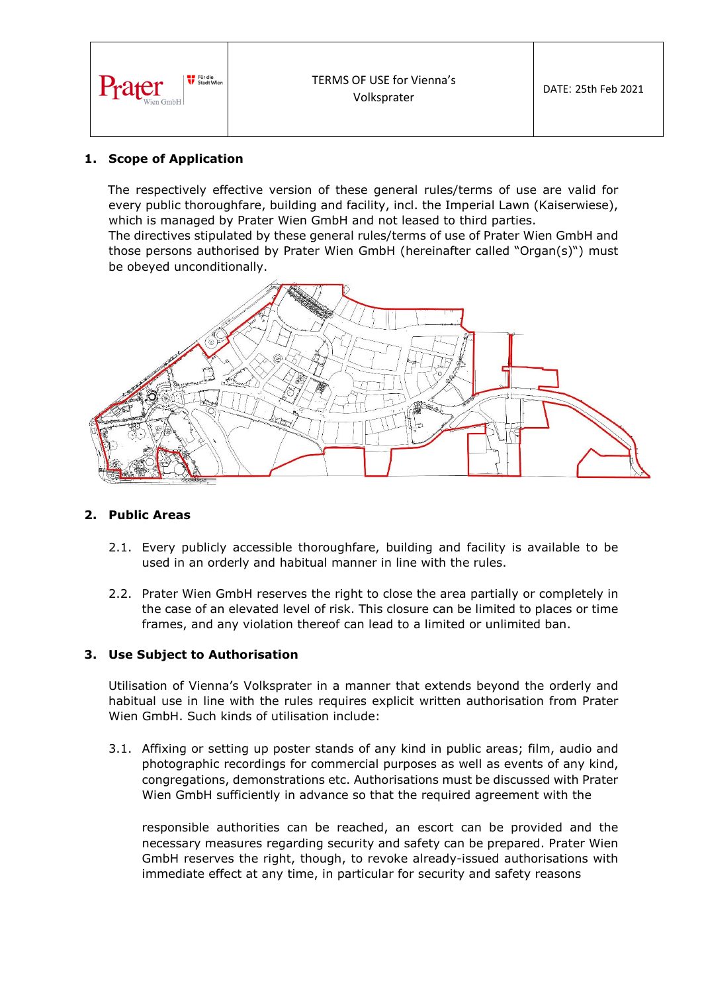

## **1. Scope of Application**

The respectively effective version of these general rules/terms of use are valid for every public thoroughfare, building and facility, incl. the Imperial Lawn (Kaiserwiese), which is managed by Prater Wien GmbH and not leased to third parties.

The directives stipulated by these general rules/terms of use of Prater Wien GmbH and those persons authorised by Prater Wien GmbH (hereinafter called "Organ(s)") must be obeyed unconditionally.



## **2. Public Areas**

- 2.1. Every publicly accessible thoroughfare, building and facility is available to be used in an orderly and habitual manner in line with the rules.
- 2.2. Prater Wien GmbH reserves the right to close the area partially or completely in the case of an elevated level of risk. This closure can be limited to places or time frames, and any violation thereof can lead to a limited or unlimited ban.

## **3. Use Subject to Authorisation**

Utilisation of Vienna's Volksprater in a manner that extends beyond the orderly and habitual use in line with the rules requires explicit written authorisation from Prater Wien GmbH. Such kinds of utilisation include:

3.1. Affixing or setting up poster stands of any kind in public areas; film, audio and photographic recordings for commercial purposes as well as events of any kind, congregations, demonstrations etc. Authorisations must be discussed with Prater Wien GmbH sufficiently in advance so that the required agreement with the

responsible authorities can be reached, an escort can be provided and the necessary measures regarding security and safety can be prepared. Prater Wien GmbH reserves the right, though, to revoke already-issued authorisations with immediate effect at any time, in particular for security and safety reasons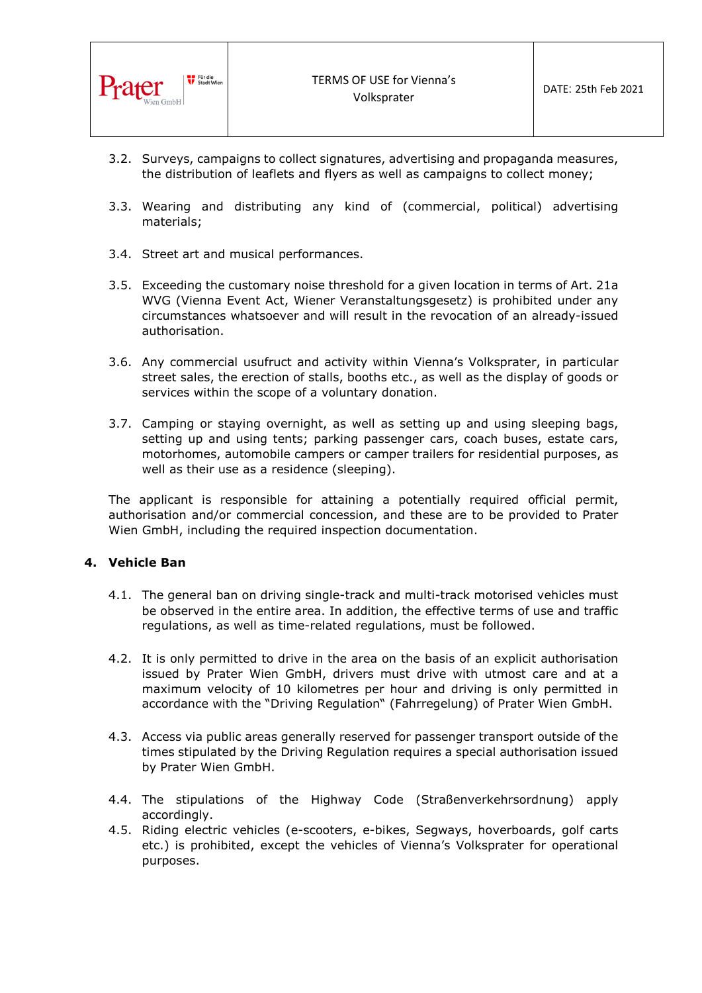

- 3.2. Surveys, campaigns to collect signatures, advertising and propaganda measures, the distribution of leaflets and flyers as well as campaigns to collect money;
- 3.3. Wearing and distributing any kind of (commercial, political) advertising materials;
- 3.4. Street art and musical performances.
- 3.5. Exceeding the customary noise threshold for a given location in terms of Art. 21a WVG (Vienna Event Act, Wiener Veranstaltungsgesetz) is prohibited under any circumstances whatsoever and will result in the revocation of an already-issued authorisation.
- 3.6. Any commercial usufruct and activity within Vienna's Volksprater, in particular street sales, the erection of stalls, booths etc., as well as the display of goods or services within the scope of a voluntary donation.
- 3.7. Camping or staying overnight, as well as setting up and using sleeping bags, setting up and using tents; parking passenger cars, coach buses, estate cars, motorhomes, automobile campers or camper trailers for residential purposes, as well as their use as a residence (sleeping).

The applicant is responsible for attaining a potentially required official permit, authorisation and/or commercial concession, and these are to be provided to Prater Wien GmbH, including the required inspection documentation.

# **4. Vehicle Ban**

- 4.1. The general ban on driving single-track and multi-track motorised vehicles must be observed in the entire area. In addition, the effective terms of use and traffic regulations, as well as time-related regulations, must be followed.
- 4.2. It is only permitted to drive in the area on the basis of an explicit authorisation issued by Prater Wien GmbH, drivers must drive with utmost care and at a maximum velocity of 10 kilometres per hour and driving is only permitted in accordance with the "Driving Regulation" (Fahrregelung) of Prater Wien GmbH.
- 4.3. Access via public areas generally reserved for passenger transport outside of the times stipulated by the Driving Regulation requires a special authorisation issued by Prater Wien GmbH.
- 4.4. The stipulations of the Highway Code (Straßenverkehrsordnung) apply accordingly.
- 4.5. Riding electric vehicles (e-scooters, e-bikes, Segways, hoverboards, golf carts etc.) is prohibited, except the vehicles of Vienna's Volksprater for operational purposes.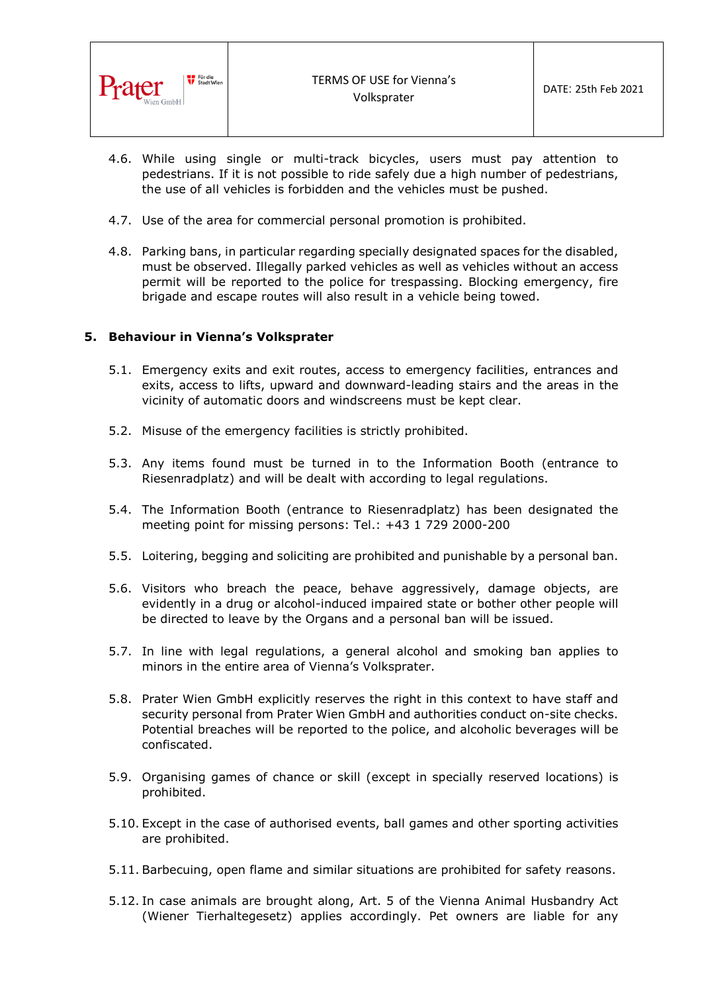

- 4.6. While using single or multi-track bicycles, users must pay attention to pedestrians. If it is not possible to ride safely due a high number of pedestrians, the use of all vehicles is forbidden and the vehicles must be pushed.
- 4.7. Use of the area for commercial personal promotion is prohibited.
- 4.8. Parking bans, in particular regarding specially designated spaces for the disabled, must be observed. Illegally parked vehicles as well as vehicles without an access permit will be reported to the police for trespassing. Blocking emergency, fire brigade and escape routes will also result in a vehicle being towed.

## **5. Behaviour in Vienna's Volksprater**

- 5.1. Emergency exits and exit routes, access to emergency facilities, entrances and exits, access to lifts, upward and downward-leading stairs and the areas in the vicinity of automatic doors and windscreens must be kept clear.
- 5.2. Misuse of the emergency facilities is strictly prohibited.
- 5.3. Any items found must be turned in to the Information Booth (entrance to Riesenradplatz) and will be dealt with according to legal regulations.
- 5.4. The Information Booth (entrance to Riesenradplatz) has been designated the meeting point for missing persons: Tel.: +43 1 729 2000-200
- 5.5. Loitering, begging and soliciting are prohibited and punishable by a personal ban.
- 5.6. Visitors who breach the peace, behave aggressively, damage objects, are evidently in a drug or alcohol-induced impaired state or bother other people will be directed to leave by the Organs and a personal ban will be issued.
- 5.7. In line with legal regulations, a general alcohol and smoking ban applies to minors in the entire area of Vienna's Volksprater.
- 5.8. Prater Wien GmbH explicitly reserves the right in this context to have staff and security personal from Prater Wien GmbH and authorities conduct on-site checks. Potential breaches will be reported to the police, and alcoholic beverages will be confiscated.
- 5.9. Organising games of chance or skill (except in specially reserved locations) is prohibited.
- 5.10. Except in the case of authorised events, ball games and other sporting activities are prohibited.
- 5.11. Barbecuing, open flame and similar situations are prohibited for safety reasons.
- 5.12. In case animals are brought along, Art. 5 of the Vienna Animal Husbandry Act (Wiener Tierhaltegesetz) applies accordingly. Pet owners are liable for any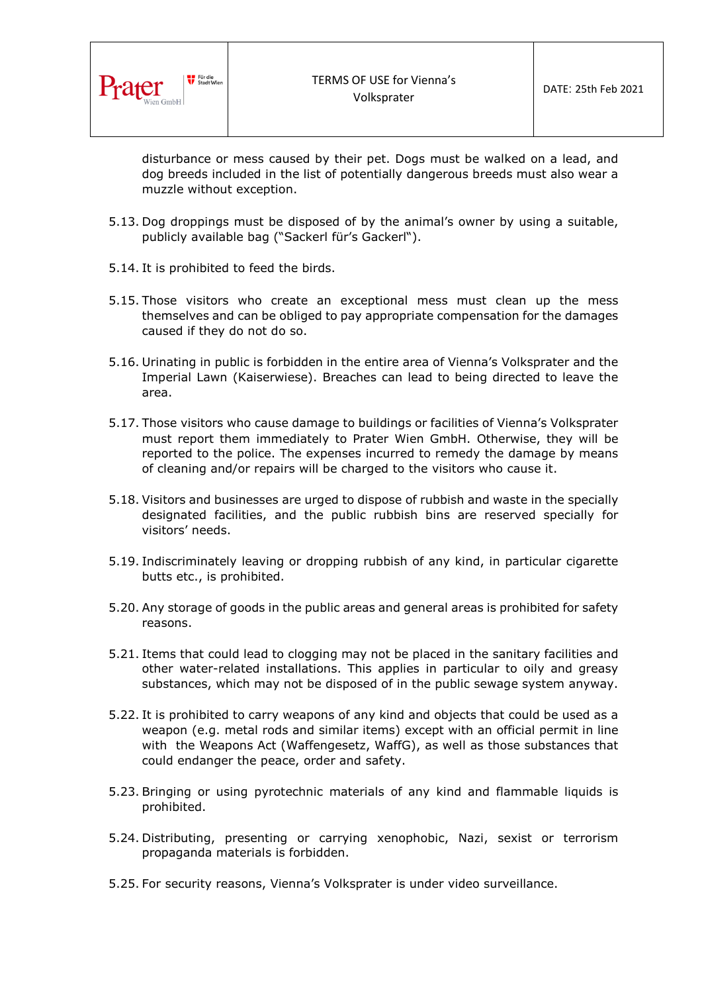

disturbance or mess caused by their pet. Dogs must be walked on a lead, and dog breeds included in the list of potentially dangerous breeds must also wear a muzzle without exception.

- 5.13. Dog droppings must be disposed of by the animal's owner by using a suitable, publicly available bag ("Sackerl für's Gackerl").
- 5.14. It is prohibited to feed the birds.
- 5.15. Those visitors who create an exceptional mess must clean up the mess themselves and can be obliged to pay appropriate compensation for the damages caused if they do not do so.
- 5.16. Urinating in public is forbidden in the entire area of Vienna's Volksprater and the Imperial Lawn (Kaiserwiese). Breaches can lead to being directed to leave the area.
- 5.17. Those visitors who cause damage to buildings or facilities of Vienna's Volksprater must report them immediately to Prater Wien GmbH. Otherwise, they will be reported to the police. The expenses incurred to remedy the damage by means of cleaning and/or repairs will be charged to the visitors who cause it.
- 5.18. Visitors and businesses are urged to dispose of rubbish and waste in the specially designated facilities, and the public rubbish bins are reserved specially for visitors' needs.
- 5.19. Indiscriminately leaving or dropping rubbish of any kind, in particular cigarette butts etc., is prohibited.
- 5.20. Any storage of goods in the public areas and general areas is prohibited for safety reasons.
- 5.21. Items that could lead to clogging may not be placed in the sanitary facilities and other water-related installations. This applies in particular to oily and greasy substances, which may not be disposed of in the public sewage system anyway.
- 5.22. It is prohibited to carry weapons of any kind and objects that could be used as a weapon (e.g. metal rods and similar items) except with an official permit in line with the Weapons Act (Waffengesetz, WaffG), as well as those substances that could endanger the peace, order and safety.
- 5.23. Bringing or using pyrotechnic materials of any kind and flammable liquids is prohibited.
- 5.24. Distributing, presenting or carrying xenophobic, Nazi, sexist or terrorism propaganda materials is forbidden.
- 5.25. For security reasons, Vienna's Volksprater is under video surveillance.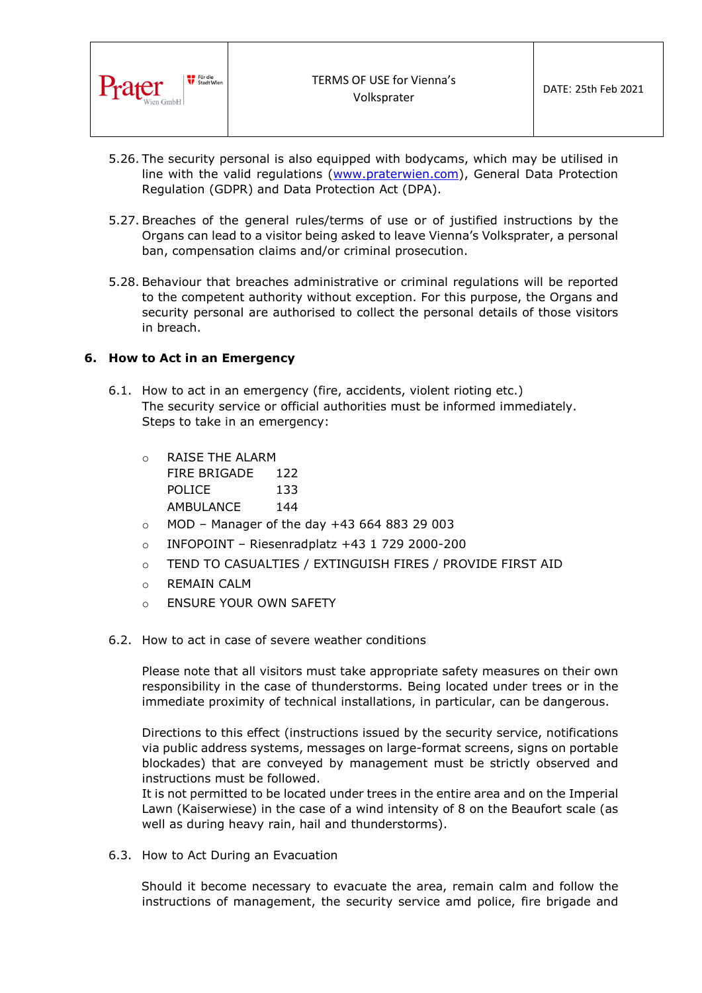

- 5.26. The security personal is also equipped with bodycams, which may be utilised in line with the valid regulations [\(www.praterwien.com\)](http://www.praterwien.com/), General Data Protection Regulation (GDPR) and Data Protection Act (DPA).
- 5.27. Breaches of the general rules/terms of use or of justified instructions by the Organs can lead to a visitor being asked to leave Vienna's Volksprater, a personal ban, compensation claims and/or criminal prosecution.
- 5.28. Behaviour that breaches administrative or criminal regulations will be reported to the competent authority without exception. For this purpose, the Organs and security personal are authorised to collect the personal details of those visitors in breach.

## **6. How to Act in an Emergency**

- 6.1. How to act in an emergency (fire, accidents, violent rioting etc.) The security service or official authorities must be informed immediately. Steps to take in an emergency:
	- o RAISE THE ALARM FIRE BRIGADE 122 POLICE 133 AMBULANCE 144
	- $\circ$  MOD Manager of the day +43 664 883 29 003
	- $\circ$  INFOPOINT Riesenradplatz +43 1 729 2000-200
	- o TEND TO CASUALTIES / EXTINGUISH FIRES / PROVIDE FIRST AID
	- o REMAIN CALM
	- o ENSURE YOUR OWN SAFETY
- 6.2. How to act in case of severe weather conditions

Please note that all visitors must take appropriate safety measures on their own responsibility in the case of thunderstorms. Being located under trees or in the immediate proximity of technical installations, in particular, can be dangerous.

Directions to this effect (instructions issued by the security service, notifications via public address systems, messages on large-format screens, signs on portable blockades) that are conveyed by management must be strictly observed and instructions must be followed.

It is not permitted to be located under trees in the entire area and on the Imperial Lawn (Kaiserwiese) in the case of a wind intensity of 8 on the Beaufort scale (as well as during heavy rain, hail and thunderstorms).

6.3. How to Act During an Evacuation

Should it become necessary to evacuate the area, remain calm and follow the instructions of management, the security service amd police, fire brigade and